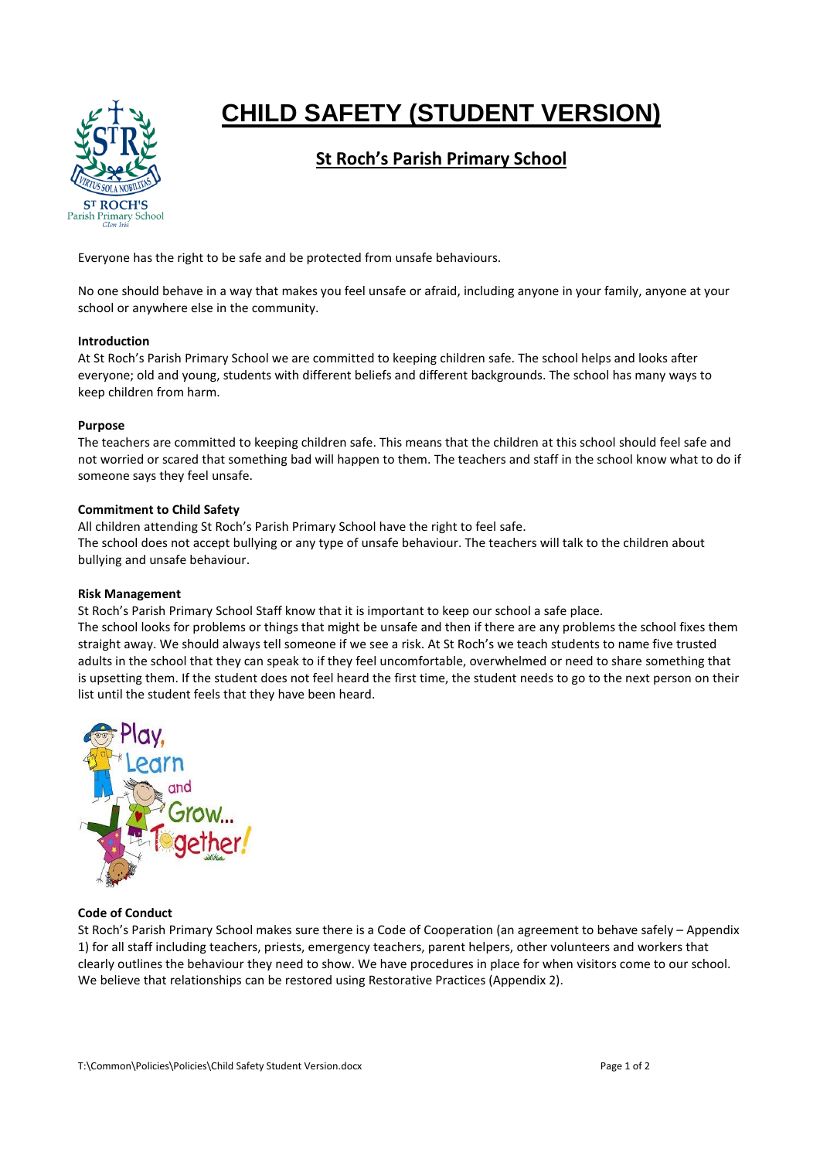

# **CHILD SAFETY (STUDENT VERSION)**

# **St Roch's Parish Primary School**

Everyone has the right to be safe and be protected from unsafe behaviours.

No one should behave in a way that makes you feel unsafe or afraid, including anyone in your family, anyone at your school or anywhere else in the community.

## **Introduction**

At St Roch's Parish Primary School we are committed to keeping children safe. The school helps and looks after everyone; old and young, students with different beliefs and different backgrounds. The school has many ways to keep children from harm.

## **Purpose**

The teachers are committed to keeping children safe. This means that the children at this school should feel safe and not worried or scared that something bad will happen to them. The teachers and staff in the school know what to do if someone says they feel unsafe.

# **Commitment to Child Safety**

All children attending St Roch's Parish Primary School have the right to feel safe. The school does not accept bullying or any type of unsafe behaviour. The teachers will talk to the children about bullying and unsafe behaviour.

# **Risk Management**

St Roch's Parish Primary School Staff know that it is important to keep our school a safe place.

The school looks for problems or things that might be unsafe and then if there are any problems the school fixes them straight away. We should always tell someone if we see a risk. At St Roch's we teach students to name five trusted adults in the school that they can speak to if they feel uncomfortable, overwhelmed or need to share something that is upsetting them. If the student does not feel heard the first time, the student needs to go to the next person on their list until the student feels that they have been heard.



# **Code of Conduct**

St Roch's Parish Primary School makes sure there is a Code of Cooperation (an agreement to behave safely – Appendix 1) for all staff including teachers, priests, emergency teachers, parent helpers, other volunteers and workers that clearly outlines the behaviour they need to show. We have procedures in place for when visitors come to our school. We believe that relationships can be restored using Restorative Practices (Appendix 2).